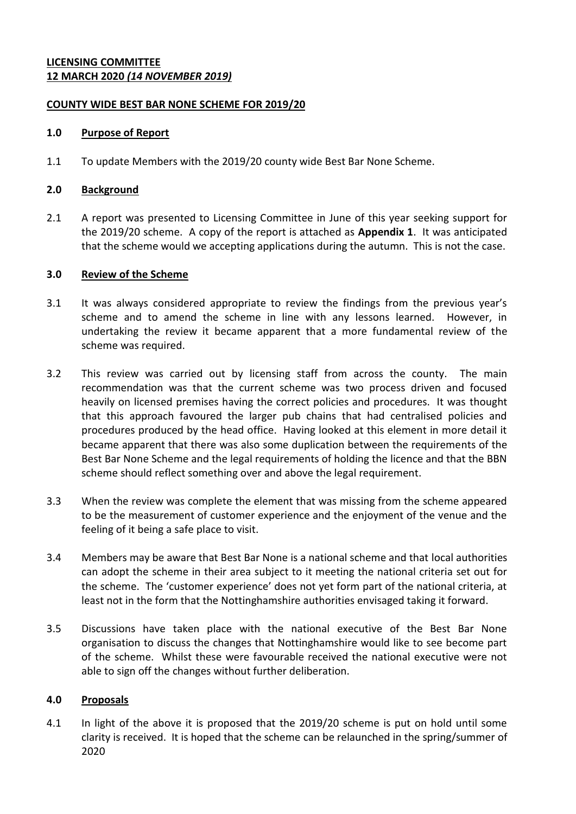# **LICENSING COMMITTEE 12 MARCH 2020** *(14 NOVEMBER 2019)*

# **COUNTY WIDE BEST BAR NONE SCHEME FOR 2019/20**

### **1.0 Purpose of Report**

1.1 To update Members with the 2019/20 county wide Best Bar None Scheme.

### **2.0 Background**

2.1 A report was presented to Licensing Committee in June of this year seeking support for the 2019/20 scheme. A copy of the report is attached as **Appendix 1**. It was anticipated that the scheme would we accepting applications during the autumn. This is not the case.

### **3.0 Review of the Scheme**

- 3.1 It was always considered appropriate to review the findings from the previous year's scheme and to amend the scheme in line with any lessons learned. However, in undertaking the review it became apparent that a more fundamental review of the scheme was required.
- 3.2 This review was carried out by licensing staff from across the county. The main recommendation was that the current scheme was two process driven and focused heavily on licensed premises having the correct policies and procedures. It was thought that this approach favoured the larger pub chains that had centralised policies and procedures produced by the head office. Having looked at this element in more detail it became apparent that there was also some duplication between the requirements of the Best Bar None Scheme and the legal requirements of holding the licence and that the BBN scheme should reflect something over and above the legal requirement.
- 3.3 When the review was complete the element that was missing from the scheme appeared to be the measurement of customer experience and the enjoyment of the venue and the feeling of it being a safe place to visit.
- 3.4 Members may be aware that Best Bar None is a national scheme and that local authorities can adopt the scheme in their area subject to it meeting the national criteria set out for the scheme. The 'customer experience' does not yet form part of the national criteria, at least not in the form that the Nottinghamshire authorities envisaged taking it forward.
- 3.5 Discussions have taken place with the national executive of the Best Bar None organisation to discuss the changes that Nottinghamshire would like to see become part of the scheme. Whilst these were favourable received the national executive were not able to sign off the changes without further deliberation.

### **4.0 Proposals**

4.1 In light of the above it is proposed that the 2019/20 scheme is put on hold until some clarity is received. It is hoped that the scheme can be relaunched in the spring/summer of 2020